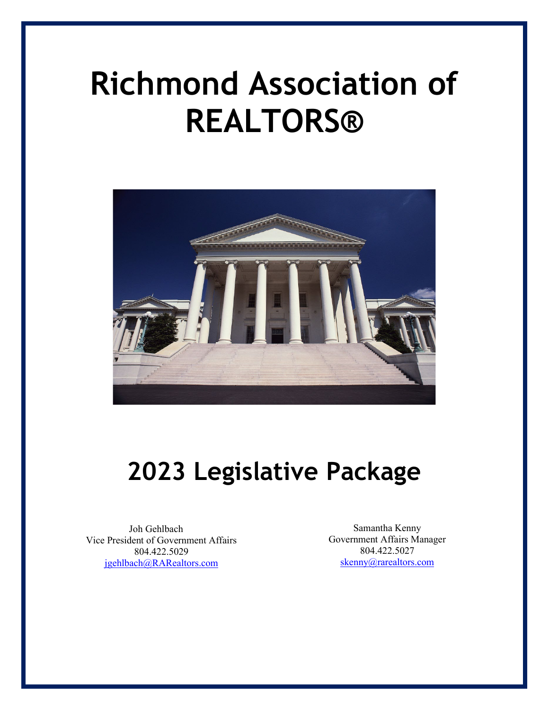# **Richmond Association of REALTORS®**



## **2023 Legislative Package**

Joh Gehlbach Vice President of Government Affairs 804.422.5029 [jgehlbach@RARealtors.com](mailto:jgehlbach@RARealtors.com)

Samantha Kenny Government Affairs Manager 804.422.5027 [skenny@rarealtors.com](mailto:skenny@rarealtors.com)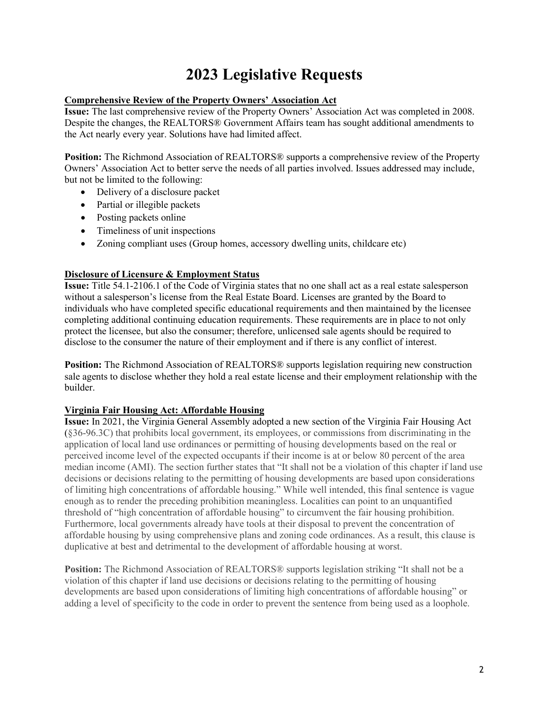## **2023 Legislative Requests**

#### **Comprehensive Review of the Property Owners' Association Act**

**Issue:** The last comprehensive review of the Property Owners' Association Act was completed in 2008. Despite the changes, the REALTORS® Government Affairs team has sought additional amendments to the Act nearly every year. Solutions have had limited affect.

**Position:** The Richmond Association of REALTORS® supports a comprehensive review of the Property Owners' Association Act to better serve the needs of all parties involved. Issues addressed may include, but not be limited to the following:

- Delivery of a disclosure packet
- Partial or illegible packets
- Posting packets online
- Timeliness of unit inspections
- Zoning compliant uses (Group homes, accessory dwelling units, childcare etc)

#### **Disclosure of Licensure & Employment Status**

**Issue:** Title 54.1-2106.1 of the Code of Virginia states that no one shall act as a real estate salesperson without a salesperson's license from the Real Estate Board. Licenses are granted by the Board to individuals who have completed specific educational requirements and then maintained by the licensee completing additional continuing education requirements. These requirements are in place to not only protect the licensee, but also the consumer; therefore, unlicensed sale agents should be required to disclose to the consumer the nature of their employment and if there is any conflict of interest.

**Position:** The Richmond Association of REALTORS® supports legislation requiring new construction sale agents to disclose whether they hold a real estate license and their employment relationship with the builder.

#### **Virginia Fair Housing Act: Affordable Housing**

**Issue:** In 2021, the Virginia General Assembly adopted a new section of the Virginia Fair Housing Act (§36-96.3C) that prohibits local government, its employees, or commissions from discriminating in the application of local land use ordinances or permitting of housing developments based on the real or perceived income level of the expected occupants if their income is at or below 80 percent of the area median income (AMI). The section further states that "It shall not be a violation of this chapter if land use decisions or decisions relating to the permitting of housing developments are based upon considerations of limiting high concentrations of affordable housing." While well intended, this final sentence is vague enough as to render the preceding prohibition meaningless. Localities can point to an unquantified threshold of "high concentration of affordable housing" to circumvent the fair housing prohibition. Furthermore, local governments already have tools at their disposal to prevent the concentration of affordable housing by using comprehensive plans and zoning code ordinances. As a result, this clause is duplicative at best and detrimental to the development of affordable housing at worst.

**Position:** The Richmond Association of REALTORS® supports legislation striking "It shall not be a violation of this chapter if land use decisions or decisions relating to the permitting of housing developments are based upon considerations of limiting high concentrations of affordable housing" or adding a level of specificity to the code in order to prevent the sentence from being used as a loophole.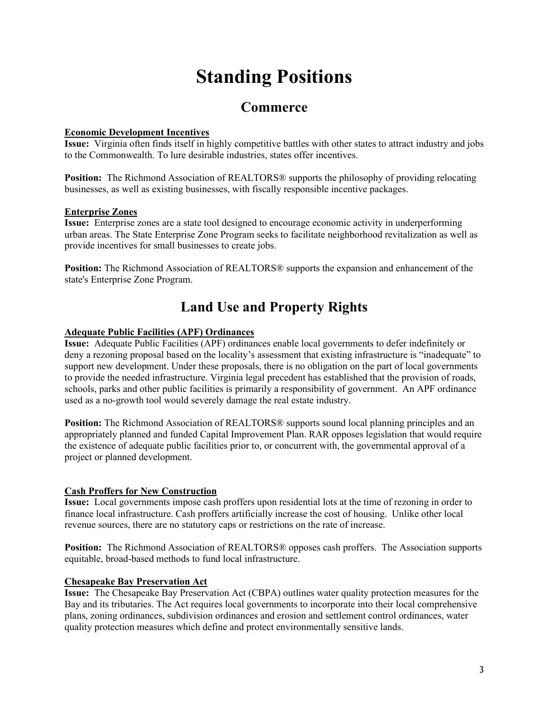## **Standing Positions**

### **Commerce**

#### **Economic Development Incentives**

**Issue:** Virginia often finds itself in highly competitive battles with other states to attract industry and jobs to the Commonwealth. To lure desirable industries, states offer incentives.

**Position:** The Richmond Association of REALTORS® supports the philosophy of providing relocating businesses, as well as existing businesses, with fiscally responsible incentive packages.

#### **Enterprise Zones**

**Issue:** Enterprise zones are a state tool designed to encourage economic activity in underperforming urban areas. The State Enterprise Zone Program seeks to facilitate neighborhood revitalization as well as provide incentives for small businesses to create jobs.

**Position:** The Richmond Association of REALTORS® supports the expansion and enhancement of the state's Enterprise Zone Program.

## **Land Use and Property Rights**

#### **Adequate Public Facilities (APF) Ordinances**

**Issue:** Adequate Public Facilities (APF) ordinances enable local governments to defer indefinitely or deny a rezoning proposal based on the locality's assessment that existing infrastructure is "inadequate" to support new development. Under these proposals, there is no obligation on the part of local governments to provide the needed infrastructure. Virginia legal precedent has established that the provision of roads, schools, parks and other public facilities is primarily a responsibility of government. An APF ordinance used as a no-growth tool would severely damage the real estate industry.

**Position:** The Richmond Association of REALTORS<sup>®</sup> supports sound local planning principles and an appropriately planned and funded Capital Improvement Plan. RAR opposes legislation that would require the existence of adequate public facilities prior to, or concurrent with, the governmental approval of a project or planned development.

#### **Cash Proffers for New Construction**

**Issue:** Local governments impose cash proffers upon residential lots at the time of rezoning in order to finance local infrastructure. Cash proffers artificially increase the cost of housing. Unlike other local revenue sources, there are no statutory caps or restrictions on the rate of increase.

**Position:** The Richmond Association of REALTORS® opposes cash proffers. The Association supports equitable, broad-based methods to fund local infrastructure.

#### **Chesapeake Bay Preservation Act**

**Issue:** The Chesapeake Bay Preservation Act (CBPA) outlines water quality protection measures for the Bay and its tributaries. The Act requires local governments to incorporate into their local comprehensive plans, zoning ordinances, subdivision ordinances and erosion and settlement control ordinances, water quality protection measures which define and protect environmentally sensitive lands.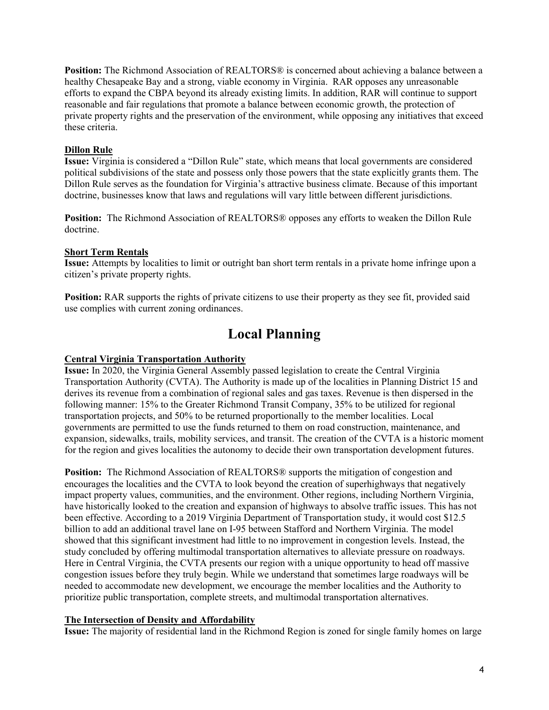**Position:** The Richmond Association of REALTORS® is concerned about achieving a balance between a healthy Chesapeake Bay and a strong, viable economy in Virginia. RAR opposes any unreasonable efforts to expand the CBPA beyond its already existing limits. In addition, RAR will continue to support reasonable and fair regulations that promote a balance between economic growth, the protection of private property rights and the preservation of the environment, while opposing any initiatives that exceed these criteria.

#### **Dillon Rule**

**Issue:** Virginia is considered a "Dillon Rule" state, which means that local governments are considered political subdivisions of the state and possess only those powers that the state explicitly grants them. The Dillon Rule serves as the foundation for Virginia's attractive business climate. Because of this important doctrine, businesses know that laws and regulations will vary little between different jurisdictions.

**Position:** The Richmond Association of REALTORS® opposes any efforts to weaken the Dillon Rule doctrine.

#### **Short Term Rentals**

**Issue:** Attempts by localities to limit or outright ban short term rentals in a private home infringe upon a citizen's private property rights.

**Position:** RAR supports the rights of private citizens to use their property as they see fit, provided said use complies with current zoning ordinances.

## **Local Planning**

#### **Central Virginia Transportation Authority**

**Issue:** In 2020, the Virginia General Assembly passed legislation to create the Central Virginia Transportation Authority (CVTA). The Authority is made up of the localities in Planning District 15 and derives its revenue from a combination of regional sales and gas taxes. Revenue is then dispersed in the following manner: 15% to the Greater Richmond Transit Company, 35% to be utilized for regional transportation projects, and 50% to be returned proportionally to the member localities. Local governments are permitted to use the funds returned to them on road construction, maintenance, and expansion, sidewalks, trails, mobility services, and transit. The creation of the CVTA is a historic moment for the region and gives localities the autonomy to decide their own transportation development futures.

**Position:** The Richmond Association of REALTORS<sup>®</sup> supports the mitigation of congestion and encourages the localities and the CVTA to look beyond the creation of superhighways that negatively impact property values, communities, and the environment. Other regions, including Northern Virginia, have historically looked to the creation and expansion of highways to absolve traffic issues. This has not been effective. According to a 2019 Virginia Department of Transportation study, it would cost \$12.5 billion to add an additional travel lane on I-95 between Stafford and Northern Virginia. The model showed that this significant investment had little to no improvement in congestion levels. Instead, the study concluded by offering multimodal transportation alternatives to alleviate pressure on roadways. Here in Central Virginia, the CVTA presents our region with a unique opportunity to head off massive congestion issues before they truly begin. While we understand that sometimes large roadways will be needed to accommodate new development, we encourage the member localities and the Authority to prioritize public transportation, complete streets, and multimodal transportation alternatives.

#### **The Intersection of Density and Affordability**

**Issue:** The majority of residential land in the Richmond Region is zoned for single family homes on large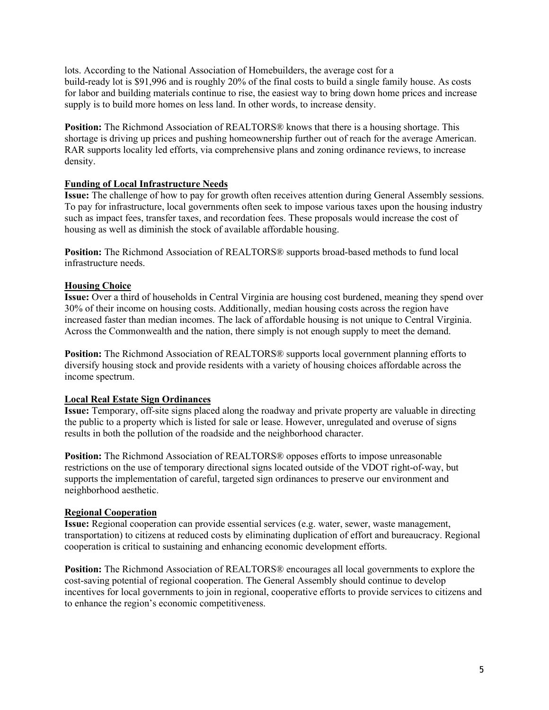lots. According to the National Association of Homebuilders, the average cost for a build-ready lot is \$91,996 and is roughly 20% of the final costs to build a single family house. As costs for labor and building materials continue to rise, the easiest way to bring down home prices and increase supply is to build more homes on less land. In other words, to increase density.

**Position:** The Richmond Association of REALTORS<sup>®</sup> knows that there is a housing shortage. This shortage is driving up prices and pushing homeownership further out of reach for the average American. RAR supports locality led efforts, via comprehensive plans and zoning ordinance reviews, to increase density.

#### **Funding of Local Infrastructure Needs**

**Issue:** The challenge of how to pay for growth often receives attention during General Assembly sessions. To pay for infrastructure, local governments often seek to impose various taxes upon the housing industry such as impact fees, transfer taxes, and recordation fees. These proposals would increase the cost of housing as well as diminish the stock of available affordable housing.

**Position:** The Richmond Association of REALTORS® supports broad-based methods to fund local infrastructure needs.

#### **Housing Choice**

**Issue:** Over a third of households in Central Virginia are housing cost burdened, meaning they spend over 30% of their income on housing costs. Additionally, median housing costs across the region have increased faster than median incomes. The lack of affordable housing is not unique to Central Virginia. Across the Commonwealth and the nation, there simply is not enough supply to meet the demand.

**Position:** The Richmond Association of REALTORS® supports local government planning efforts to diversify housing stock and provide residents with a variety of housing choices affordable across the income spectrum.

#### **Local Real Estate Sign Ordinances**

**Issue:** Temporary, off-site signs placed along the roadway and private property are valuable in directing the public to a property which is listed for sale or lease. However, unregulated and overuse of signs results in both the pollution of the roadside and the neighborhood character.

**Position:** The Richmond Association of REALTORS<sup>®</sup> opposes efforts to impose unreasonable restrictions on the use of temporary directional signs located outside of the VDOT right-of-way, but supports the implementation of careful, targeted sign ordinances to preserve our environment and neighborhood aesthetic.

#### **Regional Cooperation**

**Issue:** Regional cooperation can provide essential services (e.g. water, sewer, waste management, transportation) to citizens at reduced costs by eliminating duplication of effort and bureaucracy. Regional cooperation is critical to sustaining and enhancing economic development efforts.

**Position:** The Richmond Association of REALTORS® encourages all local governments to explore the cost-saving potential of regional cooperation. The General Assembly should continue to develop incentives for local governments to join in regional, cooperative efforts to provide services to citizens and to enhance the region's economic competitiveness.